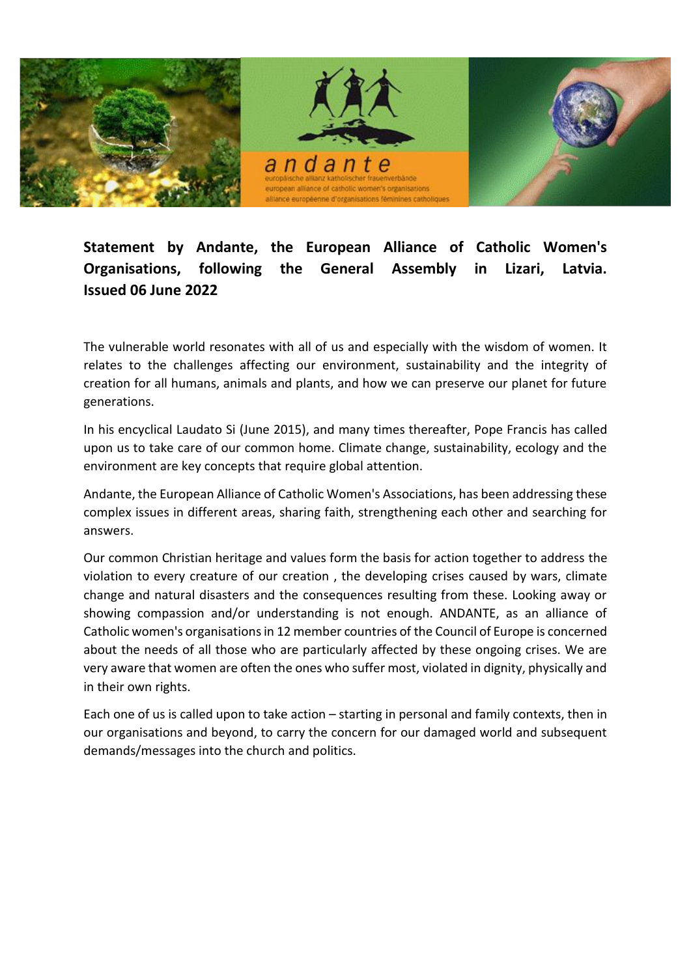

## **Statement by Andante, the European Alliance of Catholic Women's Organisations, following the General Assembly in Lizari, Latvia. Issued 06 June 2022**

The vulnerable world resonates with all of us and especially with the wisdom of women. It relates to the challenges affecting our environment, sustainability and the integrity of creation for all humans, animals and plants, and how we can preserve our planet for future generations.

In his encyclical Laudato Si (June 2015), and many times thereafter, Pope Francis has called upon us to take care of our common home. Climate change, sustainability, ecology and the environment are key concepts that require global attention.

Andante, the European Alliance of Catholic Women's Associations, has been addressing these complex issues in different areas, sharing faith, strengthening each other and searching for answers.

Our common Christian heritage and values form the basis for action together to address the violation to every creature of our creation , the developing crises caused by wars, climate change and natural disasters and the consequences resulting from these. Looking away or showing compassion and/or understanding is not enough. ANDANTE, as an alliance of Catholic women's organisations in 12 member countries of the Council of Europe is concerned about the needs of all those who are particularly affected by these ongoing crises. We are very aware that women are often the ones who suffer most, violated in dignity, physically and in their own rights.

Each one of us is called upon to take action – starting in personal and family contexts, then in our organisations and beyond, to carry the concern for our damaged world and subsequent demands/messages into the church and politics.